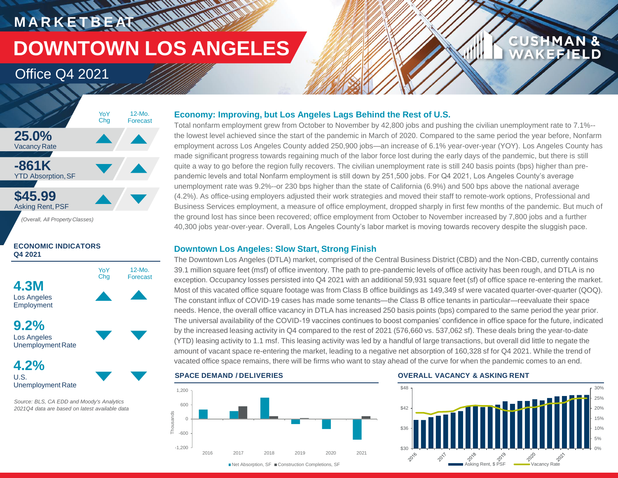# **MARKETBEAT MUNICIPAL DOWNTOWN LOS ANGELES**

12-Mo. Forecast

## Office Q4 2021



#### **ECONOMIC INDICATORS Q4 2021**



Los Angeles Unemployment Rate

**4.2%** U.S. Unemployment Rate

*Source: BLS, CA EDD and Moody's Analytics 2021Q4 data are based on latest available data*

#### **Economy: Improving, but Los Angeles Lags Behind the Rest of U.S.**

Total nonfarm employment grew from October to November by 42,800 jobs and pushing the civilian unemployment rate to 7.1%- the lowest level achieved since the start of the pandemic in March of 2020. Compared to the same period the year before, Nonfarm employment across Los Angeles County added 250,900 jobs—an increase of 6.1% year-over-year (YOY). Los Angeles County has made significant progress towards regaining much of the labor force lost during the early days of the pandemic, but there is still quite a way to go before the region fully recovers. The civilian unemployment rate is still 240 basis points (bps) higher than prepandemic levels and total Nonfarm employment is still down by 251,500 jobs. For Q4 2021, Los Angeles County's average unemployment rate was 9.2%--or 230 bps higher than the state of California (6.9%) and 500 bps above the national average (4.2%). As office-using employers adjusted their work strategies and moved their staff to remote-work options, Professional and Business Services employment, a measure of office employment, dropped sharply in first few months of the pandemic. But much of the ground lost has since been recovered; office employment from October to November increased by 7,800 jobs and a further 40,300 jobs year-over-year. Overall, Los Angeles County's labor market is moving towards recovery despite the sluggish pace.

#### **Downtown Los Angeles: Slow Start, Strong Finish**

The Downtown Los Angeles (DTLA) market, comprised of the Central Business District (CBD) and the Non-CBD, currently contains 39.1 million square feet (msf) of office inventory. The path to pre-pandemic levels of office activity has been rough, and DTLA is no exception. Occupancy losses persisted into Q4 2021 with an additional 59,931 square feet (sf) of office space re-entering the market. Most of this vacated office square footage was from Class B office buildings as 149,349 sf were vacated quarter-over-quarter (QOQ). The constant influx of COVID-19 cases has made some tenants—the Class B office tenants in particular—reevaluate their space needs. Hence, the overall office vacancy in DTLA has increased 250 basis points (bps) compared to the same period the year prior. The universal availability of the COVID-19 vaccines continues to boost companies' confidence in office space for the future, indicated by the increased leasing activity in Q4 compared to the rest of 2021 (576,660 vs. 537,062 sf). These deals bring the year-to-date (YTD) leasing activity to 1.1 msf. This leasing activity was led by a handful of large transactions, but overall did little to negate the amount of vacant space re-entering the market, leading to a negative net absorption of 160,328 sf for Q4 2021. While the trend of vacated office space remains, there will be firms who want to stay ahead of the curve for when the pandemic comes to an end.



#### **SPACE DEMAND / DELIVERIES OVERALL VACANCY & ASKING RENT**



**CUSHMAN &** 

**FEIEID**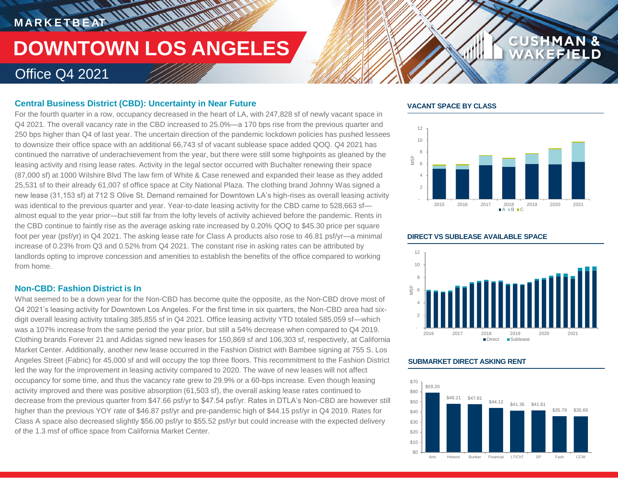# **MARKETBEAT 11.10 MMW**

# **DOWNTOWN LOS ANGELES**

**THE ALL AND AND AND AND** 

### Office Q4 2021

#### **Central Business District (CBD): Uncertainty in Near Future**

For the fourth quarter in a row, occupancy decreased in the heart of LA, with 247,828 sf of newly vacant space in Q4 2021. The overall vacancy rate in the CBD increased to 25.0%—a 170 bps rise from the previous quarter and 250 bps higher than Q4 of last year. The uncertain direction of the pandemic lockdown policies has pushed lessees to downsize their office space with an additional 66,743 sf of vacant sublease space added QOQ. Q4 2021 has continued the narrative of underachievement from the year, but there were still some highpoints as gleaned by the leasing activity and rising lease rates. Activity in the legal sector occurred with Buchalter renewing their space (87,000 sf) at 1000 Wilshire Blvd The law firm of White & Case renewed and expanded their lease as they added 25,531 sf to their already 61,007 sf office space at City National Plaza. The clothing brand Johnny Was signed a new lease (31,153 sf) at 712 S Olive St. Demand remained for Downtown LA's high-rises as overall leasing activity was identical to the previous quarter and year. Year-to-date leasing activity for the CBD came to 528,663 sf almost equal to the year prior—but still far from the lofty levels of activity achieved before the pandemic. Rents in the CBD continue to faintly rise as the average asking rate increased by 0.20% QOQ to \$45.30 price per square foot per year (psf/yr) in Q4 2021. The asking lease rate for Class A products also rose to 46.81 psf/yr—a minimal increase of 0.23% from Q3 and 0.52% from Q4 2021. The constant rise in asking rates can be attributed by landlords opting to improve concession and amenities to establish the benefits of the office compared to working from home.

#### **Non-CBD: Fashion District is In**

What seemed to be a down year for the Non-CBD has become quite the opposite, as the Non-CBD drove most of Q4 2021's leasing activity for Downtown Los Angeles. For the first time in six quarters, the Non-CBD area had sixdigit overall leasing activity totaling 385,855 sf in Q4 2021. Office leasing activity YTD totaled 585,059 sf—which was a 107% increase from the same period the year prior, but still a 54% decrease when compared to Q4 2019. Clothing brands Forever 21 and Adidas signed new leases for 150,869 sf and 106,303 sf, respectively, at California Market Center. Additionally, another new lease occurred in the Fashion District with Bambee signing at 755 S. Los Angeles Street (Fabric) for 45,000 sf and will occupy the top three floors. This recommitment to the Fashion District led the way for the improvement in leasing activity compared to 2020. The wave of new leases will not affect occupancy for some time, and thus the vacancy rate grew to 29.9% or a 60-bps increase. Even though leasing activity improved and there was positive absorption (61,503 sf), the overall asking lease rates continued to decrease from the previous quarter from \$47.66 psf/yr to \$47.54 psf/yr. Rates in DTLA's Non-CBD are however still higher than the previous YOY rate of \$46.87 psf/yr and pre-pandemic high of \$44.15 psf/yr in Q4 2019. Rates for Class A space also decreased slightly \$56.00 psf/yr to \$55.52 psf/yr but could increase with the expected delivery of the 1.3 msf of office space from California Market Center.

#### **VACANT SPACE BY CLASS**



**CUS** 

**HMAN &** 

 - 2 4 6 8 10 12 2016 2017 2018 2019 2020 2021 MSF Direct Sublease

#### **SUBMARKET DIRECT ASKING RENT**



#### **DIRECT VS SUBLEASE AVAILABLE SPACE**